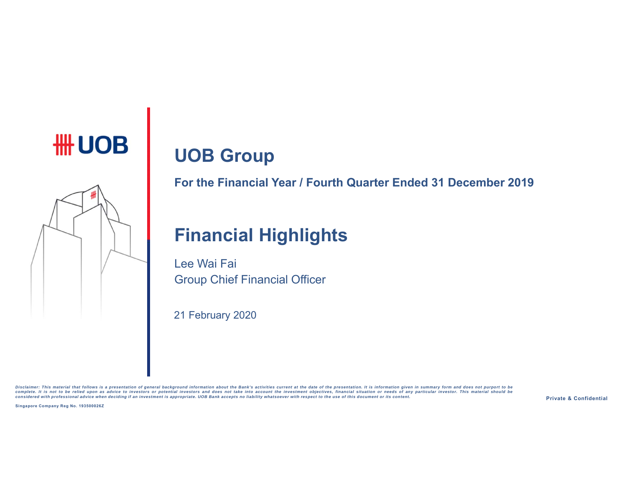# **UOB Group**



**For the Financial Year / Fourth Quarter Ended 31 December 2019**

# **Financial Highlights**

Lee Wai FaiGroup Chief Financial Officer

21 February 2020

Disclaimer: This material that follows is a presentation of general background information about the Bank's activities current at the date of the presentation. It is information given in summary form and does not purport t

**Singapore Company Reg No. 193500026Z**

**Private & Confidential**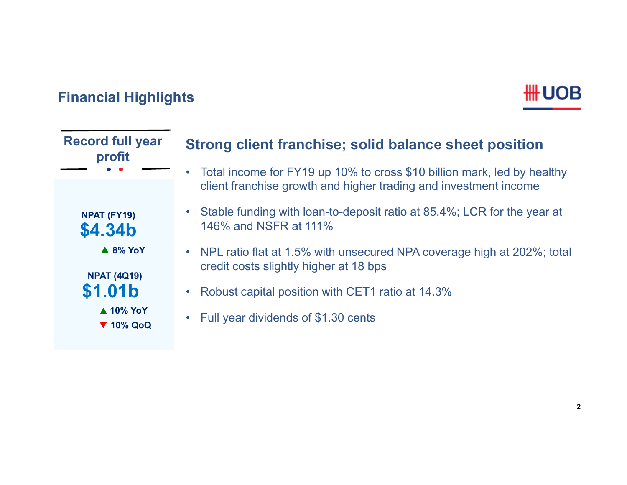# **Financial Highlights**

| <b>Record full year</b><br>profit        | Strong client franchise; solid balance sheet position                                                              |
|------------------------------------------|--------------------------------------------------------------------------------------------------------------------|
|                                          | Total income for FY19 up 10% to cross \$10 billion mark, led by healthy                                            |
|                                          | client franchise growth and higher trading and investment income                                                   |
| NPAT (FY19)<br>\$4.34b                   | • Stable funding with loan-to-deposit ratio at 85.4%; LCR for the year at<br>146% and NSFR at 111%                 |
| $\triangle$ 8% YoY<br><b>NPAT (4Q19)</b> | • NPL ratio flat at 1.5% with unsecured NPA coverage high at 202%; total<br>credit costs slightly higher at 18 bps |
| \$1.01b                                  | Robust capital position with CET1 ratio at 14.3%<br>$\bullet$                                                      |
| ▲ 10% YoY<br>▼ 10% QoQ                   | Full year dividends of \$1.30 cents                                                                                |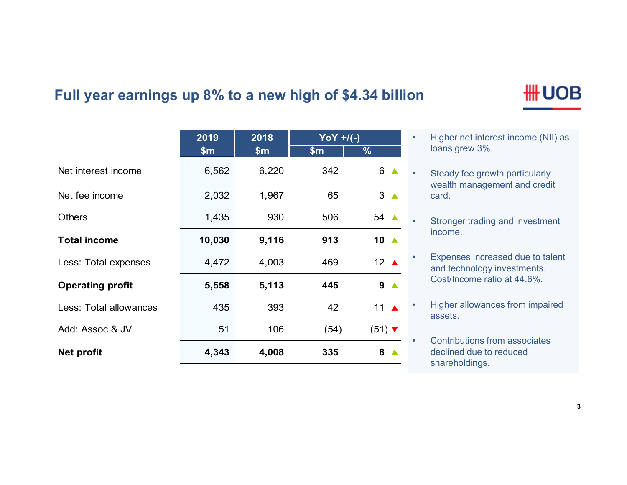### **Full year earnings up 8% to a new high of \$4.34 billion**

|                         | 2019   | 2018  | $\gamma oY + / (-)$ |                             |
|-------------------------|--------|-------|---------------------|-----------------------------|
|                         | \$m\$  | \$m\$ | $\sin$              | $\frac{9}{6}$               |
| Net interest income     | 6,562  | 6,220 | 342                 | $6 \triangle$               |
| Net fee income          | 2,032  | 1,967 | 65                  | $3^{\circ}$                 |
| <b>Others</b>           | 1,435  | 930   | 506                 | 54 ▲                        |
| <b>Total income</b>     | 10,030 | 9,116 | 913                 | 10 ▲                        |
| Less: Total expenses    | 4,472  | 4,003 | 469                 | 12 $\triangle$              |
| <b>Operating profit</b> | 5,558  | 5,113 | 445                 | 9 <sub>A</sub>              |
| Less: Total allowances  | 435    | 393   | 42                  | 11 $\triangle$              |
| Add: Assoc & JV         | 51     | 106   | (54)                | $(51)$ $\blacktriangledown$ |
| <b>Net profit</b>       | 4,343  | 4,008 | 335                 | 8                           |

# **HH UOB**

- • Higher net interest income (NII) as loans grew 3%.
- • Steady fee growth particularly wealth management and credit card.
	- Stronger trading and investment income.

•

- • Expenses increased due to talent and technology investments. Cost/Income ratio at 44.6%.
- • Higher allowances from impaired assets.
- • Contributions from associates declined due to reduced shareholdings.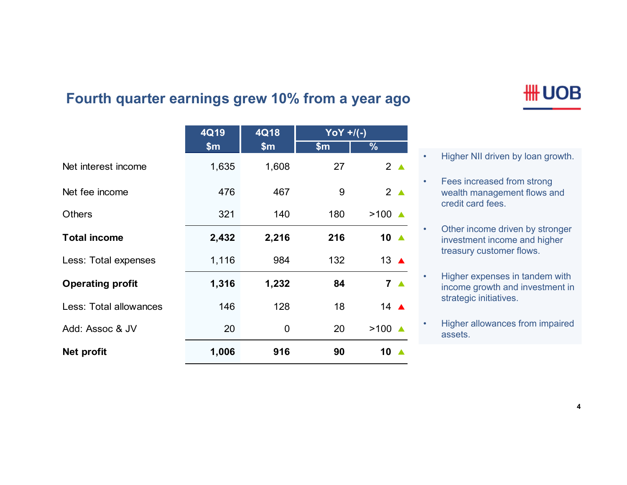•

### **Fourth quarter earnings grew 10% from a year ago**

|                         | 4Q19  | 4Q18  | $YOY + / (-)$ |                    |
|-------------------------|-------|-------|---------------|--------------------|
|                         | \$m   | \$m\$ | \$m           | %                  |
| Net interest income     | 1,635 | 1,608 | 27            | $2^{\triangle}$    |
| Net fee income          | 476   | 467   | 9             | $2^{\triangle}$    |
| <b>Others</b>           | 321   | 140   | 180           | $>100$ $\triangle$ |
| <b>Total income</b>     | 2,432 | 2,216 | 216           | 10 $\triangle$     |
| Less: Total expenses    | 1,116 | 984   | 132           | 13 $\triangle$     |
| <b>Operating profit</b> | 1,316 | 1,232 | 84            | 7 <sub>4</sub>     |
| Less: Total allowances  | 146   | 128   | 18            | 14 $\triangle$     |
| Add: Assoc & JV         | 20    | 0     | 20            | $>100$ $\triangle$ |
| Net profit              | 1,006 | 916   | 90            | 10                 |

- Higher NII driven by loan growth.
- • Fees increased from strong wealth management flows and credit card fees.
- • Other income driven by stronger investment income and higher treasury customer flows.
- • Higher expenses in tandem with income growth and investment in strategic initiatives.
- • Higher allowances from impaired assets.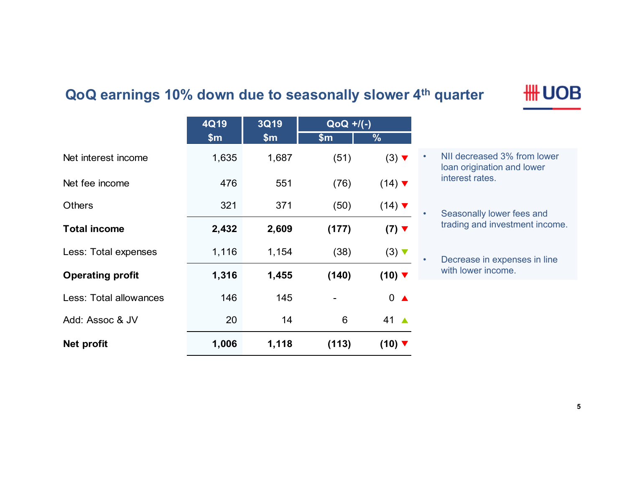### **QoQ earnings 10% down due to seasonally slower 4th quarter**

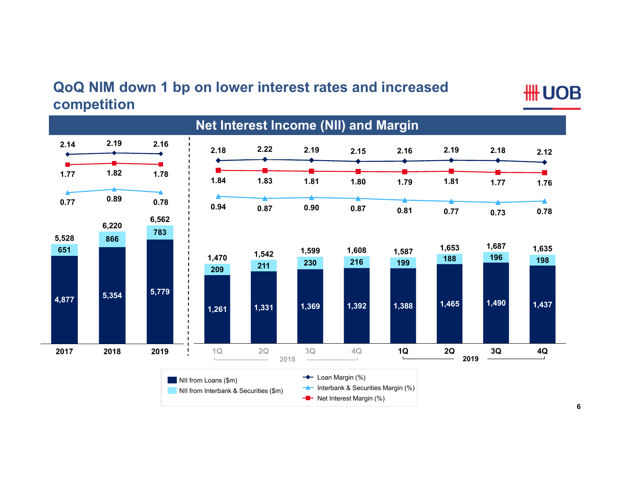### **QoQ NIM down 1 bp on lower interest rates and increased competition**

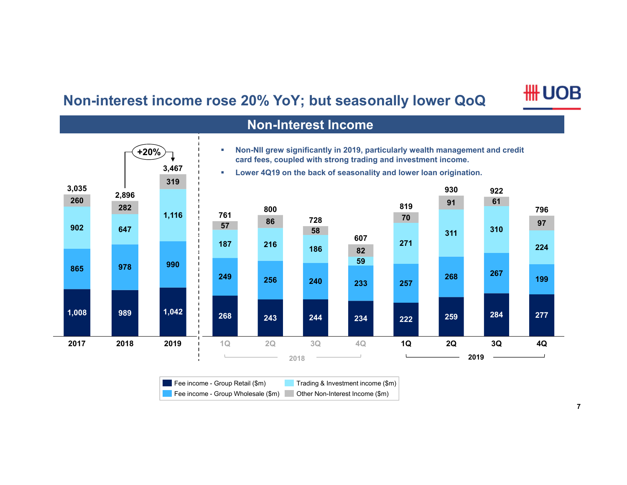# **Non-interest income rose 20% YoY; but seasonally lower QoQ**



|       | <b>Non-Interest Income</b> |                        |        |     |      |                                                                                                                                                                                                                     |     |     |      |     |
|-------|----------------------------|------------------------|--------|-----|------|---------------------------------------------------------------------------------------------------------------------------------------------------------------------------------------------------------------------|-----|-----|------|-----|
|       |                            | $+20%$<br>3,467<br>319 | ×<br>× |     |      | Non-NII grew significantly in 2019, particularly wealth management and credit<br>card fees, coupled with strong trading and investment income.<br>Lower 4Q19 on the back of seasonality and lower loan origination. |     |     |      |     |
| 3,035 | 2,896                      |                        |        |     |      |                                                                                                                                                                                                                     |     | 930 | 922  |     |
| 260   | 282                        |                        |        | 800 |      |                                                                                                                                                                                                                     | 819 | 91  | 61   | 796 |
|       |                            | 1,116                  | 761    | 86  | 728  |                                                                                                                                                                                                                     | 70  |     |      | 97  |
| 902   | 647                        |                        | 57     |     | 58   |                                                                                                                                                                                                                     |     | 311 | 310  |     |
|       |                            |                        | 187    | 216 | 186  | 607                                                                                                                                                                                                                 | 271 |     |      | 224 |
|       |                            |                        |        |     |      | 82<br>59                                                                                                                                                                                                            |     |     |      |     |
| 865   | 978                        | 990                    | 249    | 256 | 240  | 233                                                                                                                                                                                                                 | 257 | 268 | 267  | 199 |
| 1,008 | 989                        | 1,042                  | 268    | 243 | 244  | 234                                                                                                                                                                                                                 | 222 | 259 | 284  | 277 |
| 2017  | 2018                       | 2019                   | 1Q     | 2Q  | 3Q   | 4Q                                                                                                                                                                                                                  | 1Q  | 2Q  | 3Q   | 4Q  |
|       |                            |                        |        |     | 2018 |                                                                                                                                                                                                                     |     |     | 2019 |     |

| Fee income - Group Retail (\$m)    | Trading & Investment income (\$m) |
|------------------------------------|-----------------------------------|
| Fee income - Group Wholesale (\$m) | Other Non-Interest Income (\$m)   |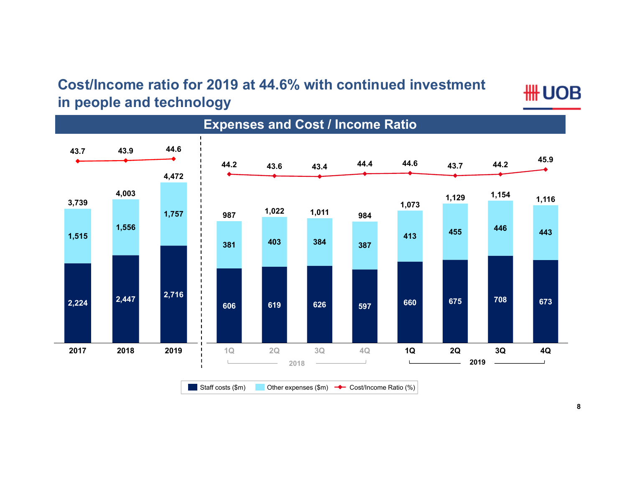### **Cost/Income ratio for 2019 at 44.6% with continued investment in people and technology**

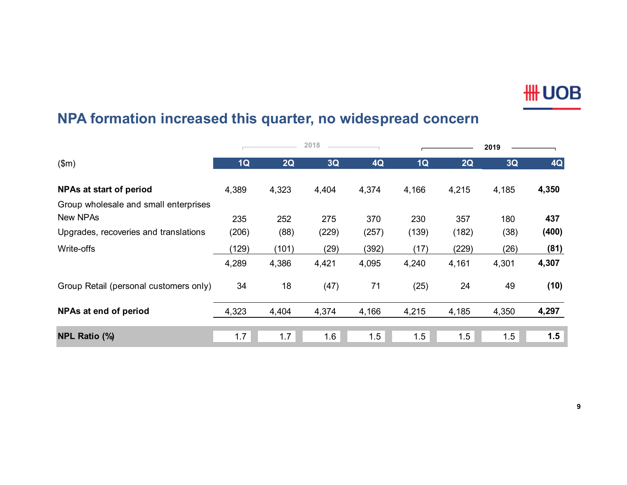# **NPA formation increased this quarter, no widespread concern**

|                                        |       |       | 2018  |       |       |       | 2019  |           |
|----------------------------------------|-------|-------|-------|-------|-------|-------|-------|-----------|
| \$m\$                                  | 1Q    | 2Q    | 3Q    | 4Q    | 1Q    | 2Q    | 3Q    | <b>4Q</b> |
| NPAs at start of period                | 4,389 | 4,323 | 4,404 | 4,374 | 4,166 | 4,215 | 4,185 | 4,350     |
| Group wholesale and small enterprises  |       |       |       |       |       |       |       |           |
| <b>New NPAs</b>                        | 235   | 252   | 275   | 370   | 230   | 357   | 180   | 437       |
| Upgrades, recoveries and translations  | (206) | (88)  | (229) | (257) | (139) | (182) | (38)  | (400)     |
| Write-offs                             | (129) | (101) | (29)  | (392) | (17)  | (229) | (26)  | (81)      |
|                                        | 4,289 | 4,386 | 4,421 | 4,095 | 4,240 | 4,161 | 4,301 | 4,307     |
| Group Retail (personal customers only) | 34    | 18    | (47)  | 71    | (25)  | 24    | 49    | (10)      |
| NPAs at end of period                  | 4,323 | 4,404 | 4,374 | 4,166 | 4,215 | 4,185 | 4,350 | 4,297     |
| <b>NPL Ratio (%)</b>                   | 1.7   | 1.7   | 1.6   | 1.5   | 1.5   | 1.5   | 1.5   | 1.5       |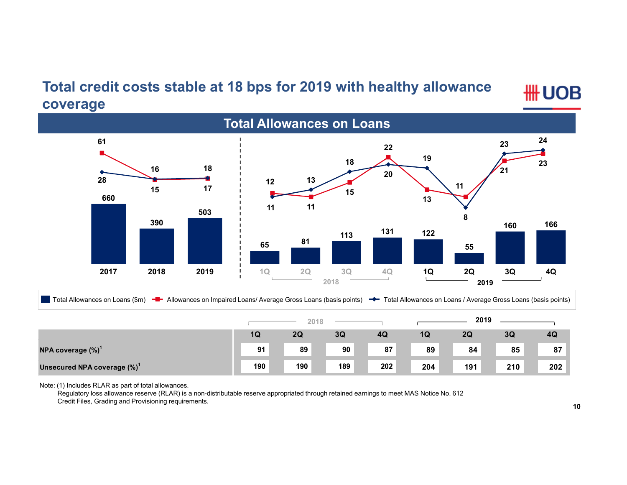### **Total credit costs stable at 18 bps for 2019 with healthy allowance coverage**

**HH UOB** 



Total Allowances on Loans (\$m) <sup>-</sup> - Allowances on Impaired Loans/ Average Gross Loans (basis points) <sup>-</sup> Total Allowances on Loans / Average Gross Loans (basis points)

|                                         | 2018 |     |     | 2019 |     |     |     |     |
|-----------------------------------------|------|-----|-----|------|-----|-----|-----|-----|
|                                         | 1Q   | 2Q  | 3Q  | 4Q   | 1Q  | 2Q  | 3Q  | 4Q  |
| NPA coverage $(\%)^1$                   | 91   | 89  | 90  | 87   | 89  | 84  | 85  | 87  |
| Unsecured NPA coverage (%) <sup>1</sup> | 190  | 190 | 189 | 202  | 204 | 191 | 210 | 202 |

Note: (1) Includes RLAR as part of total allowances.

Regulatory loss allowance reserve (RLAR) is a non-distributable reserve appropriated through retained earnings to meet MAS Notice No. 612 Credit Files, Grading and Provisioning requirements.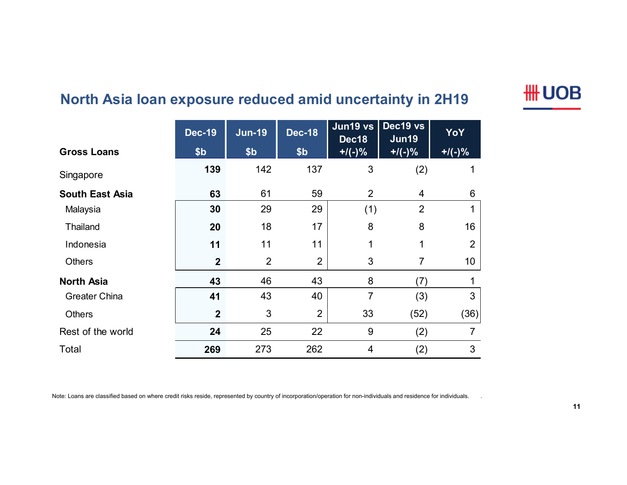# **North Asia loan exposure reduced amid uncertainty in 2H19**

|                        | <b>Dec-19</b>    | <b>Jun-19</b>   | <b>Dec-18</b>  | Jun19 vs<br>Dec18 | Dec19 vs<br>Jun19 | YoY            |
|------------------------|------------------|-----------------|----------------|-------------------|-------------------|----------------|
| <b>Gross Loans</b>     | \$b\$            | \$ <sub>b</sub> | \$b\$          | $+$ /(-)%         | $+$ /(-)%         | $+$ /(-)%      |
| Singapore              | 139              | 142             | 137            | 3                 | (2)               |                |
| <b>South East Asia</b> | 63               | 61              | 59             | $\overline{2}$    | 4                 | 6              |
| Malaysia               | 30               | 29              | 29             | (1)               | $\overline{2}$    | 1              |
| Thailand               | 20               | 18              | 17             | 8                 | 8                 | 16             |
| Indonesia              | 11               | 11              | 11             | $\mathbf{1}$      | 1                 | $\overline{2}$ |
| <b>Others</b>          | $\mathbf{2}$     | $\overline{2}$  | $\overline{2}$ | 3                 | 7                 | 10             |
| <b>North Asia</b>      | 43               | 46              | 43             | 8                 | (7)               | 1              |
| <b>Greater China</b>   | 41               | 43              | 40             | $\overline{7}$    | (3)               | 3              |
| <b>Others</b>          | $\boldsymbol{2}$ | 3               | $\overline{2}$ | 33                | (52)              | (36)           |
| Rest of the world      | 24               | 25              | 22             | 9                 | (2)               | $\overline{7}$ |
| Total                  | 269              | 273             | 262            | 4                 | (2)               | 3              |

Note: Loans are classified based on where credit risks reside, represented by country of incorporation/operation for non-individuals and residence for individuals.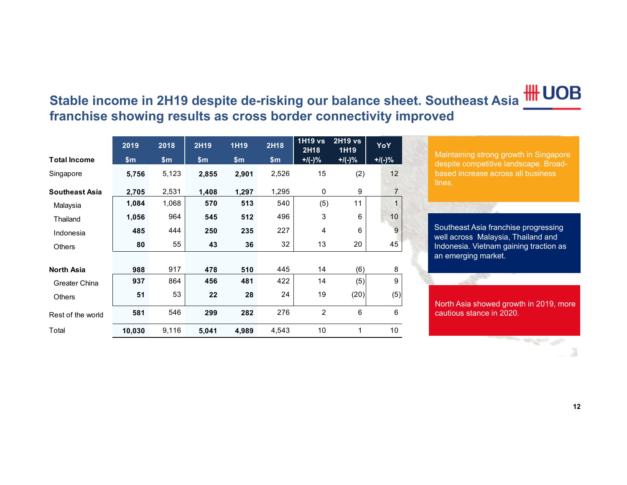# **Stable income in 2H19 despite de-risking our balance sheet. Southeast Asia franchise showing results as cross border connectivity improved**

|                       | 2019   | 2018  | 2H19  | 1H19  | 2H18  | <b>1H19 vs</b><br>2H18 | <b>2H19 vs</b><br>1H19 | YoY             |
|-----------------------|--------|-------|-------|-------|-------|------------------------|------------------------|-----------------|
| <b>Total Income</b>   | \$m\$  | \$m\$ | \$m\$ | \$m\$ | \$m   | $+/(-)$ %              | $+$ /(-)%              | $+$ /(-)%       |
| Singapore             | 5,756  | 5,123 | 2,855 | 2,901 | 2,526 | 15                     | (2)                    | 12 <sup>2</sup> |
| <b>Southeast Asia</b> | 2,705  | 2,531 | 1,408 | 1,297 | 1,295 | 0                      | 9                      | $\overline{7}$  |
| Malaysia              | 1,084  | 1,068 | 570   | 513   | 540   | (5)                    | 11                     | 1               |
| Thailand              | 1,056  | 964   | 545   | 512   | 496   | 3                      | 6                      | 10              |
| Indonesia             | 485    | 444   | 250   | 235   | 227   | 4                      | 6                      | 9               |
| <b>Others</b>         | 80     | 55    | 43    | 36    | 32    | 13                     | 20                     | 45              |
|                       |        |       |       |       |       |                        |                        |                 |
| <b>North Asia</b>     | 988    | 917   | 478   | 510   | 445   | 14                     | (6)                    | 8               |
| <b>Greater China</b>  | 937    | 864   | 456   | 481   | 422   | 14                     | (5)                    | 9               |
| <b>Others</b>         | 51     | 53    | 22    | 28    | 24    | 19                     | (20)                   | (5)             |
| Rest of the world     | 581    | 546   | 299   | 282   | 276   | $\overline{2}$         | 6                      | 6               |
| Total                 | 10,030 | 9,116 | 5,041 | 4,989 | 4,543 | 10                     | $\mathbf{1}$           | 10 <sup>°</sup> |

Maintaining strong growth in Singapore despite competitive landscape. Broadbased increase across all business lines.

Southeast Asia franchise progressing well across Malaysia, Thailand and Indonesia. Vietnam gaining traction as an emerging market.

North Asia showed growth in 2019, more cautious stance in 2020.

and the first company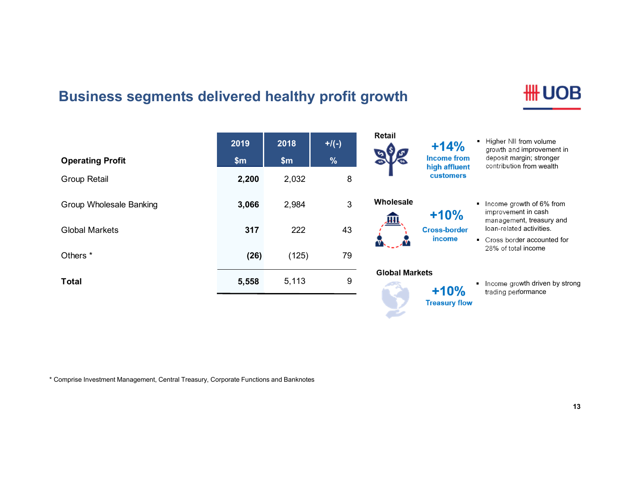# **Business segments delivered healthy profit growth**

| <b>Operating Profit</b> | 2019<br>\$m\$ | 2018<br>\$m | $+$ /(-)<br>$\frac{9}{6}$ | Retail                 | $+14%$<br><b>Income from</b>      | ■ Higher NII from volume<br>growth and improvement in<br>deposit margin; stronger |
|-------------------------|---------------|-------------|---------------------------|------------------------|-----------------------------------|-----------------------------------------------------------------------------------|
| Group Retail            | 2,200         | 2,032       | 8                         |                        | high affluent<br><b>customers</b> | contribution from wealth                                                          |
| Group Wholesale Banking | 3,066         | 2,984       | 3                         | Wholesale<br><u>нн</u> | $+10%$                            | Income growth of 6% from<br>improvement in cash<br>management, treasury and       |
| Global Markets          | 317           | 222         | 43                        |                        | <b>Cross-border</b>               | loan-related activities.                                                          |
| Others <sup>*</sup>     | (26)          | (125)       | 79                        | W                      | income                            | • Cross border accounted for<br>28% of total income                               |
| Total                   | 5,558         | 5,113       | 9                         | <b>Global Markets</b>  | $+10%$                            | Income growth driven by strong<br>trading performance                             |
|                         |               |             |                           |                        | <b>Treasury flow</b>              |                                                                                   |

**Contract Contract Contract Contract CALLES** 

\* Comprise Investment Management, Central Treasury, Corporate Functions and Banknotes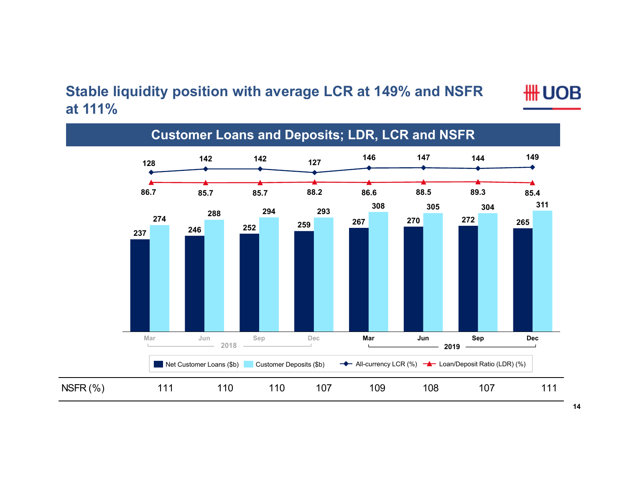### **Stable liquidity position with average LCR at 149% and NSFR at 111%**

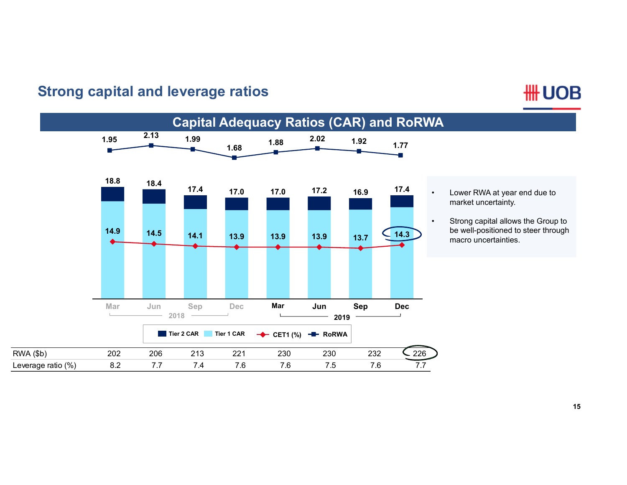#### **Capital Adequacy Ratios (CAR) and RoRWA 2.13 1.99 1.95 1.88 2.02 1.92 1.77 1.68**÷ **18.8 18.417.417.0 17.2 17.4 17.016.9**••**14.9 14.5 14.3 14.1 13.9 13.9 13.9 13.7Mar Jun Sep Dec Mar Jun Sep Dec 2018 2019**■ **Tier 2 CAR** ■ **Tier 1 CAR** → CET1 (%) → **RoRWA** RWA (\$b) 202 206 213 221 230 230 232 226 Leverage ratio (%) 8.2 7.7 7.4 7.6 7.6 7.5 7.6 7.7

# **Strong capital and leverage ratios**

# **HH UOB**

 Lower RWA at year end due to market uncertainty.

 Strong capital allows the Group to be well-positioned to steer through macro uncertainties.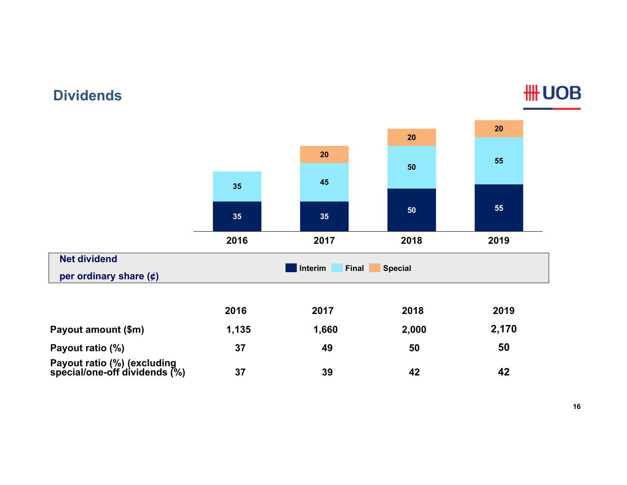#### **Net dividendper ordinary share (¢) 35 35 50 <sup>55</sup> 35 <sup>45</sup> 5055 2020 202016 2019 2017 2018 Interim Final Special 2016 2017 2018 2019 Payout amount (\$m) 1,135 1,660 2,000 2,170 Payout ratio (%) 37 49 50 50 Payout ratio (%) (excluding special/one-off dividends (%) 37 39 42 42**

### **Dividends**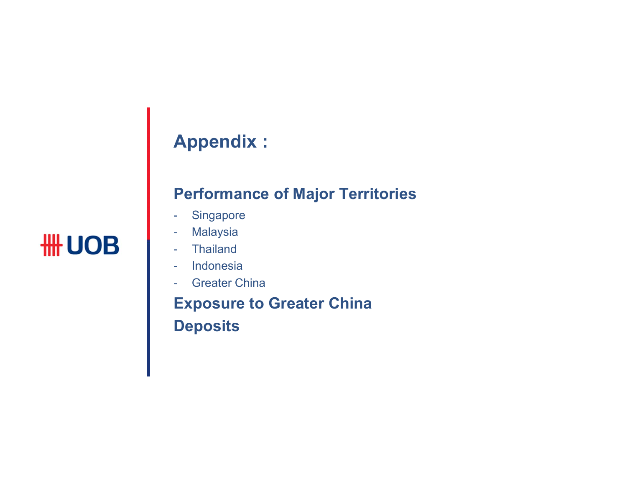# **Appendix :**

# **Performance of Major Territories**

- -Singapore
- Malaysia
- Thailand
- Indonesia
- Greater China

**Exposure to Greater China Deposits**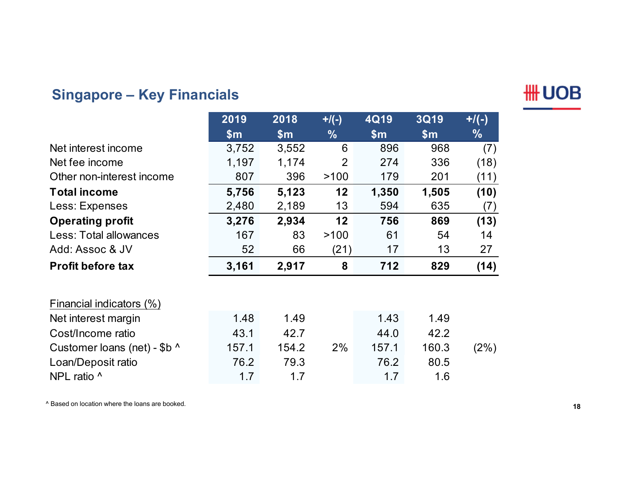# **Singapore – Key Financials**



|                              | 2019  | 2018          | $+$ /(-)       | 4Q19  | <b>3Q19</b> | $+$ /(-)      |
|------------------------------|-------|---------------|----------------|-------|-------------|---------------|
|                              | \$m\$ | $\mathsf{Sm}$ | $\frac{0}{0}$  | \$m\$ | \$m\$       | $\frac{0}{6}$ |
| Net interest income          | 3,752 | 3,552         | 6              | 896   | 968         | (7)           |
| Net fee income               | 1,197 | 1,174         | $\overline{2}$ | 274   | 336         | (18)          |
| Other non-interest income    | 807   | 396           | >100           | 179   | 201         | (11)          |
| <b>Total income</b>          | 5,756 | 5,123         | 12             | 1,350 | 1,505       | (10)          |
| Less: Expenses               | 2,480 | 2,189         | 13             | 594   | 635         | (7)           |
| <b>Operating profit</b>      | 3,276 | 2,934         | 12             | 756   | 869         | (13)          |
| Less: Total allowances       | 167   | 83            | >100           | 61    | 54          | 14            |
| Add: Assoc & JV              | 52    | 66            | (21)           | 17    | 13          | 27            |
| <b>Profit before tax</b>     | 3,161 | 2,917         | 8              | 712   | 829         | (14)          |
| Financial indicators (%)     |       |               |                |       |             |               |
| Net interest margin          | 1.48  | 1.49          |                | 1.43  | 1.49        |               |
| Cost/Income ratio            | 43.1  | 42.7          |                | 44.0  | 42.2        |               |
| Customer loans (net) - \$b ^ | 157.1 | 154.2         | 2%             | 157.1 | 160.3       | (2%)          |
| Loan/Deposit ratio           | 76.2  | 79.3          |                | 76.2  | 80.5        |               |
| NPL ratio ^                  | 1.7   | 1.7           |                | 1.7   | 1.6         |               |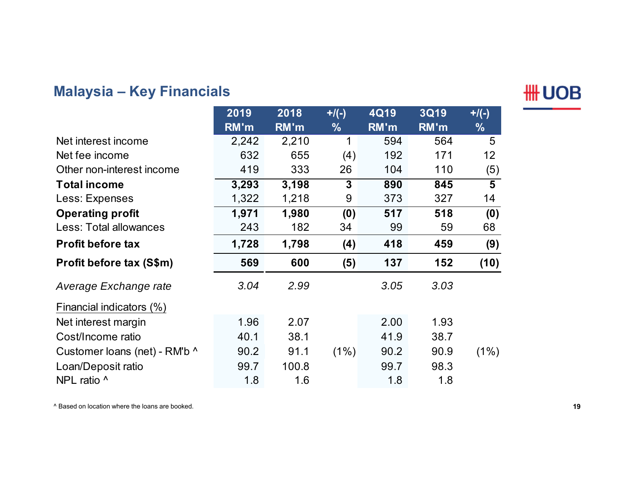# **Malaysia – Key Financials**

**HH UOB** 

|                               | 2019  | 2018  | $+$ /(-)      | 4Q19 | <b>3Q19</b> | $+$ /(-)       |
|-------------------------------|-------|-------|---------------|------|-------------|----------------|
|                               | RM'm  | RM'm  | $\frac{0}{0}$ | RM'm | RM'm        | $\frac{9}{6}$  |
| Net interest income           | 2,242 | 2,210 | 1             | 594  | 564         | 5              |
| Net fee income                | 632   | 655   | (4)           | 192  | 171         | 12             |
| Other non-interest income     | 419   | 333   | 26            | 104  | 110         | (5)            |
| <b>Total income</b>           | 3,293 | 3,198 | 3             | 890  | 845         | $\overline{5}$ |
| Less: Expenses                | 1,322 | 1,218 | 9             | 373  | 327         | 14             |
| <b>Operating profit</b>       | 1,971 | 1,980 | (0)           | 517  | 518         | (0)            |
| Less: Total allowances        | 243   | 182   | 34            | 99   | 59          | 68             |
| <b>Profit before tax</b>      | 1,728 | 1,798 | (4)           | 418  | 459         | (9)            |
| Profit before tax (S\$m)      | 569   | 600   | (5)           | 137  | 152         | (10)           |
| Average Exchange rate         | 3.04  | 2.99  |               | 3.05 | 3.03        |                |
| Financial indicators (%)      |       |       |               |      |             |                |
| Net interest margin           | 1.96  | 2.07  |               | 2.00 | 1.93        |                |
| Cost/Income ratio             | 40.1  | 38.1  |               | 41.9 | 38.7        |                |
| Customer loans (net) - RM'b ^ | 90.2  | 91.1  | (1%)          | 90.2 | 90.9        | $(1\%)$        |
| Loan/Deposit ratio            | 99.7  | 100.8 |               | 99.7 | 98.3        |                |
| NPL ratio ^                   | 1.8   | 1.6   |               | 1.8  | 1.8         |                |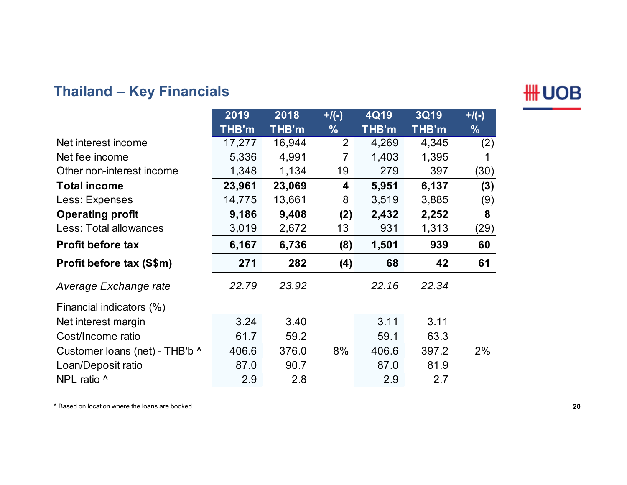# **Thailand – Key Financials**



|                                | 2019   | 2018   | $+$ /(-)      | 4Q19  | <b>3Q19</b> | $+$ /(-)      |
|--------------------------------|--------|--------|---------------|-------|-------------|---------------|
|                                | THB'm  | THB'm  | $\frac{9}{6}$ | THB'm | THB'm       | $\frac{0}{0}$ |
| Net interest income            | 17,277 | 16,944 | 2             | 4,269 | 4,345       | (2)           |
| Net fee income                 | 5,336  | 4,991  | 7             | 1,403 | 1,395       |               |
| Other non-interest income      | 1,348  | 1,134  | 19            | 279   | 397         | (30)          |
| <b>Total income</b>            | 23,961 | 23,069 | 4             | 5,951 | 6,137       | (3)           |
| Less: Expenses                 | 14,775 | 13,661 | 8             | 3,519 | 3,885       | (9)           |
| <b>Operating profit</b>        | 9,186  | 9,408  | (2)           | 2,432 | 2,252       | 8             |
| Less: Total allowances         | 3,019  | 2,672  | 13            | 931   | 1,313       | (29)          |
| <b>Profit before tax</b>       | 6,167  | 6,736  | (8)           | 1,501 | 939         | 60            |
| Profit before tax (S\$m)       | 271    | 282    | (4)           | 68    | 42          | 61            |
| Average Exchange rate          | 22.79  | 23.92  |               | 22.16 | 22.34       |               |
| Financial indicators (%)       |        |        |               |       |             |               |
| Net interest margin            | 3.24   | 3.40   |               | 3.11  | 3.11        |               |
| Cost/Income ratio              | 61.7   | 59.2   |               | 59.1  | 63.3        |               |
| Customer loans (net) - THB'b ^ | 406.6  | 376.0  | 8%            | 406.6 | 397.2       | 2%            |
| Loan/Deposit ratio             | 87.0   | 90.7   |               | 87.0  | 81.9        |               |
| NPL ratio ^                    | 2.9    | 2.8    |               | 2.9   | 2.7         |               |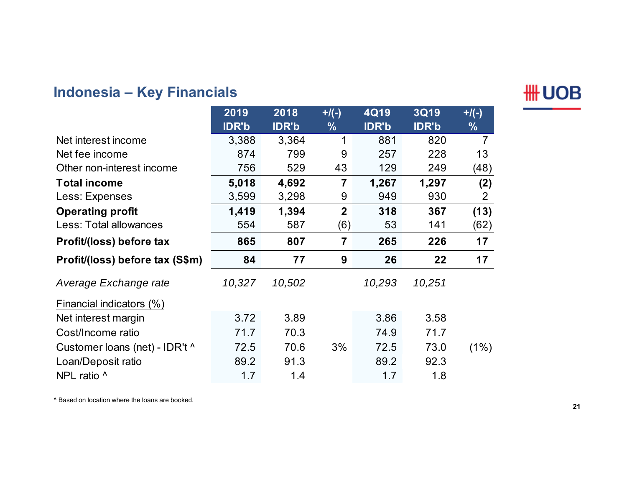# **Indonesia – Key Financials**

**HH UOB** 

|                                 | 2019         | 2018         | $+$ /(-)       | 4Q19         | <b>3Q19</b>  | $+$ /(-)       |
|---------------------------------|--------------|--------------|----------------|--------------|--------------|----------------|
|                                 | <b>IDR'b</b> | <b>IDR'b</b> | $\frac{0}{0}$  | <b>IDR'b</b> | <b>IDR'b</b> | $\frac{0}{0}$  |
| Net interest income             | 3,388        | 3,364        | 1              | 881          | 820          | $\overline{7}$ |
| Net fee income                  | 874          | 799          | 9              | 257          | 228          | 13             |
| Other non-interest income       | 756          | 529          | 43             | 129          | 249          | (48)           |
| <b>Total income</b>             | 5,018        | 4,692        | $\overline{7}$ | 1,267        | 1,297        | (2)            |
| Less: Expenses                  | 3,599        | 3,298        | 9              | 949          | 930          | $\overline{2}$ |
| <b>Operating profit</b>         | 1,419        | 1,394        | $\overline{2}$ | 318          | 367          | (13)           |
| Less: Total allowances          | 554          | 587          | (6)            | 53           | 141          | (62)           |
| Profit/(loss) before tax        | 865          | 807          | 7              | 265          | 226          | 17             |
| Profit/(loss) before tax (S\$m) | 84           | 77           | 9              | 26           | 22           | 17             |
| Average Exchange rate           | 10,327       | 10,502       |                | 10,293       | 10,251       |                |
| Financial indicators (%)        |              |              |                |              |              |                |
| Net interest margin             | 3.72         | 3.89         |                | 3.86         | 3.58         |                |
| Cost/Income ratio               | 71.7         | 70.3         |                | 74.9         | 71.7         |                |
| Customer loans (net) - IDR't ^  | 72.5         | 70.6         | 3%             | 72.5         | 73.0         | (1%)           |
| Loan/Deposit ratio              | 89.2         | 91.3         |                | 89.2         | 92.3         |                |
| NPL ratio ^                     | 1.7          | 1.4          |                | 1.7          | 1.8          |                |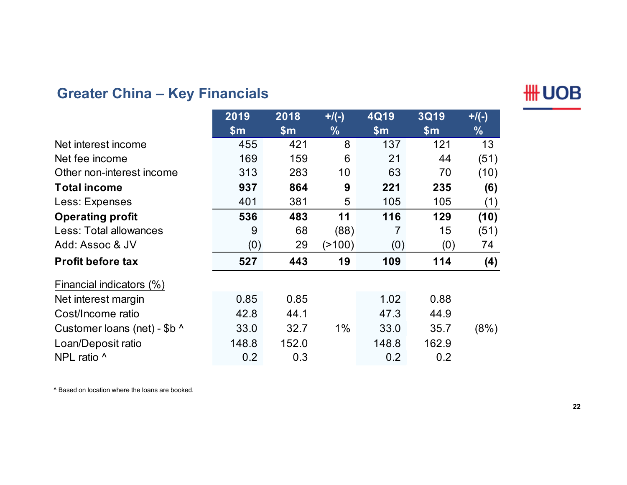# **Greater China – Key Financials**



|                              | 2019          | 2018          | $+$ /(-)      | 4Q19  | <b>3Q19</b>    | $+$ /(-)      |
|------------------------------|---------------|---------------|---------------|-------|----------------|---------------|
|                              | $\mathsf{Sm}$ | $\mathsf{Sm}$ | $\frac{0}{0}$ | \$m\$ | $\mathsf{S}$ m | $\frac{9}{6}$ |
| Net interest income          | 455           | 421           | 8             | 137   | 121            | 13            |
| Net fee income               | 169           | 159           | 6             | 21    | 44             | (51)          |
| Other non-interest income    | 313           | 283           | 10            | 63    | 70             | (10)          |
| <b>Total income</b>          | 937           | 864           | 9             | 221   | 235            | (6)           |
| Less: Expenses               | 401           | 381           | 5             | 105   | 105            | (1)           |
| <b>Operating profit</b>      | 536           | 483           | 11            | 116   | 129            | (10)          |
| Less: Total allowances       | 9             | 68            | (88)          |       | 15             | (51)          |
| Add: Assoc & JV              | (0)           | 29            | (>100)        | (0)   | (0)            | 74            |
| <b>Profit before tax</b>     | 527           | 443           | 19            | 109   | 114            | (4)           |
| Financial indicators (%)     |               |               |               |       |                |               |
| Net interest margin          | 0.85          | 0.85          |               | 1.02  | 0.88           |               |
| Cost/Income ratio            | 42.8          | 44.1          |               | 47.3  | 44.9           |               |
| Customer loans (net) - \$b ^ | 33.0          | 32.7          | $1\%$         | 33.0  | 35.7           | (8%)          |
| Loan/Deposit ratio           | 148.8         | 152.0         |               | 148.8 | 162.9          |               |
| NPL ratio ^                  | 0.2           | 0.3           |               | 0.2   | 0.2            |               |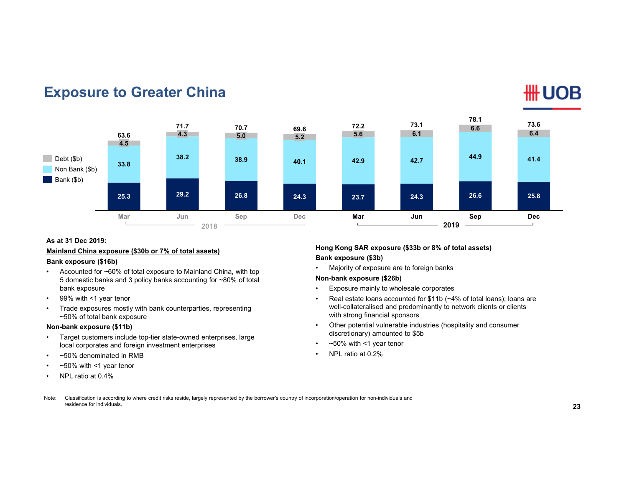

#### **Exposure to Greater China**

#### **As at 31 Dec 2019:**

#### **Mainland China exposure (\$30b or 7% of total assets)**

#### **Bank exposure (\$16b)**

- • Accounted for ~60% of total exposure to Mainland China, with top 5 domestic banks and 3 policy banks accounting for ~80% of total bank exposure
- •99% with <1 year tenor
- • Trade exposures mostly with bank counterparties, representing ~50% of total bank exposure

#### **Non-bank exposure (\$11b)**

- • Target customers include top-tier state-owned enterprises, large local corporates and foreign investment enterprises
- •~50% denominated in RMB
- •~50% with <1 year tenor
- •NPL ratio at 0.4%

#### **Hong Kong SAR exposure (\$33b or 8% of total assets)**

**Bank exposure (\$3b)**

•Majority of exposure are to foreign banks

#### **Non-bank exposure (\$26b)**

- •Exposure mainly to wholesale corporates
- • Real estate loans accounted for \$11b (~4% of total loans); loans are well-collateralised and predominantly to network clients or clients with strong financial sponsors
- • Other potential vulnerable industries (hospitality and consumer discretionary) amounted to \$5b
- •~50% with <1 year tenor
- •NPL ratio at 0.2%
- Note: Classification is according to where credit risks reside, largely represented by the borrower's country of incorporation/operation for non-individuals and residence for individuals.